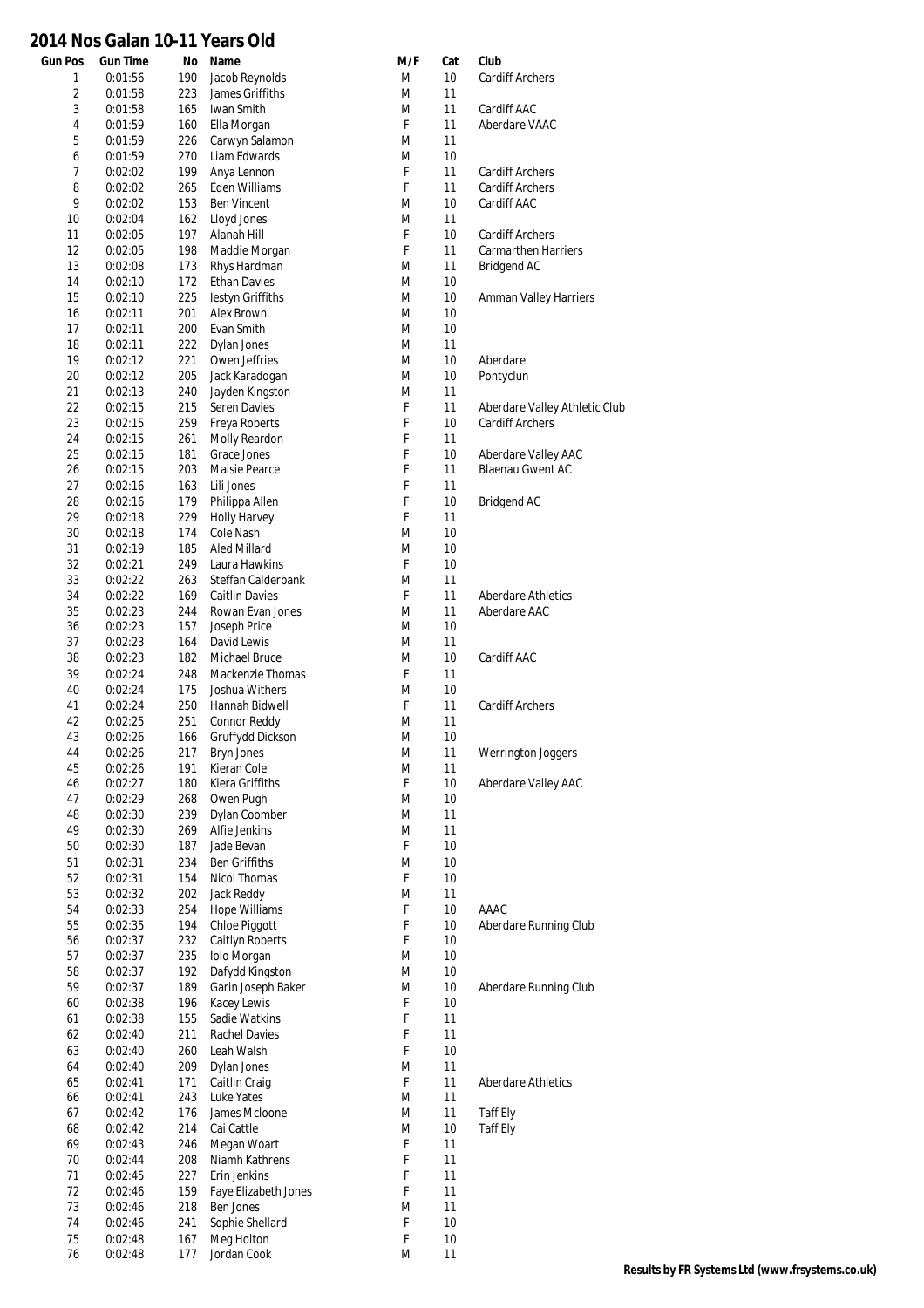## **Gun Pos Gun Time No Name M/F Cat Club 2014 Nos Galan 10-11 Years Old**

| $\mathbbm{1}$  | 0:01:56 | 190 | Jacob Reynolds        | M | 10   | <b>Cardiff Archers</b>        |
|----------------|---------|-----|-----------------------|---|------|-------------------------------|
| $\overline{2}$ | 0:01:58 | 223 | James Griffiths       | M | 11   |                               |
| 3              | 0:01:58 | 165 | Iwan Smith            | M | 11   | Cardiff AAC                   |
| $\sqrt{4}$     | 0:01:59 | 160 | Ella Morgan           | F | 11   | Aberdare VAAC                 |
| 5              | 0:01:59 | 226 | Carwyn Salamon        | M | 11   |                               |
| 6              | 0:01:59 | 270 | Liam Edwards          | M | 10   |                               |
| 7              | 0:02:02 | 199 | Anya Lennon           | F | 11   | <b>Cardiff Archers</b>        |
| 8              | 0:02:02 | 265 | Eden Williams         | F | 11   | Cardiff Archers               |
| 9              | 0:02:02 | 153 | <b>Ben Vincent</b>    | M | 10   | Cardiff AAC                   |
| 10             | 0:02:04 | 162 | Lloyd Jones           | M | 11   |                               |
| 11             | 0:02:05 | 197 | Alanah Hill           | F | 10   | <b>Cardiff Archers</b>        |
| 12             | 0:02:05 | 198 |                       | F | 11   | <b>Carmarthen Harriers</b>    |
|                |         |     | Maddie Morgan         |   |      |                               |
| 13             | 0:02:08 | 173 | Rhys Hardman          | M | 11   | <b>Bridgend AC</b>            |
| 14             | 0:02:10 | 172 | <b>Ethan Davies</b>   | M | 10   |                               |
| 15             | 0:02:10 | 225 | lestyn Griffiths      | M | 10   | <b>Amman Valley Harriers</b>  |
| 16             | 0:02:11 | 201 | Alex Brown            | M | 10   |                               |
| 17             | 0:02:11 | 200 | Evan Smith            | M | 10   |                               |
| 18             | 0:02:11 | 222 | Dylan Jones           | M | 11   |                               |
| 19             | 0:02:12 | 221 | Owen Jeffries         | M | 10   | Aberdare                      |
| 20             | 0:02:12 | 205 | Jack Karadogan        | M | 10   | Pontyclun                     |
| 21             | 0:02:13 | 240 | Jayden Kingston       | M | 11   |                               |
| 22             | 0:02:15 | 215 | <b>Seren Davies</b>   | F | 11   | Aberdare Valley Athletic Club |
| 23             | 0:02:15 | 259 | Freya Roberts         | F | 10   | <b>Cardiff Archers</b>        |
| 24             | 0:02:15 | 261 | Molly Reardon         | F | 11   |                               |
| 25             | 0:02:15 | 181 | Grace Jones           | F | 10   | Aberdare Valley AAC           |
| 26             | 0:02:15 | 203 | Maisie Pearce         | F | 11   | <b>Blaenau Gwent AC</b>       |
|                |         |     |                       |   |      |                               |
| 27             | 0:02:16 | 163 | Lili Jones            | F | 11   |                               |
| 28             | 0:02:16 | 179 | Philippa Allen        | F | 10   | Bridgend AC                   |
| 29             | 0:02:18 | 229 | <b>Holly Harvey</b>   | F | 11   |                               |
| 30             | 0:02:18 | 174 | Cole Nash             | M | 10   |                               |
| 31             | 0:02:19 | 185 | Aled Millard          | M | 10   |                               |
| 32             | 0:02:21 | 249 | Laura Hawkins         | F | 10   |                               |
| 33             | 0:02:22 | 263 | Steffan Calderbank    | M | 11   |                               |
| 34             | 0:02:22 | 169 | <b>Caitlin Davies</b> | F | 11   | <b>Aberdare Athletics</b>     |
| 35             | 0:02:23 | 244 | Rowan Evan Jones      | M | 11   | Aberdare AAC                  |
| 36             | 0:02:23 | 157 | Joseph Price          | M | 10   |                               |
| 37             | 0:02:23 | 164 | David Lewis           | M | 11   |                               |
| 38             | 0:02:23 | 182 | Michael Bruce         | M | 10   | Cardiff AAC                   |
| 39             | 0:02:24 | 248 | Mackenzie Thomas      | F | 11   |                               |
| 40             | 0:02:24 | 175 | Joshua Withers        | M | 10   |                               |
|                |         |     |                       |   |      |                               |
| 41             | 0:02:24 | 250 | Hannah Bidwell        | F | 11   | <b>Cardiff Archers</b>        |
| 42             | 0:02:25 | 251 | Connor Reddy          | M | 11   |                               |
| 43             | 0:02:26 | 166 | Gruffydd Dickson      | M | 10   |                               |
| 44             | 0:02:26 | 217 | <b>Bryn Jones</b>     | M | 11   | Werrington Joggers            |
| 45             | 0:02:26 | 191 | Kieran Cole           | M | 11   |                               |
| 46             | 0:02:27 | 180 | Kiera Griffiths       | F | 10   | Aberdare Valley AAC           |
| 47             | 0:02:29 | 268 | Owen Pugh             | M | $10$ |                               |
| 48             | 0:02:30 | 239 | Dylan Coomber         | M | 11   |                               |
| 49             | 0:02:30 | 269 | Alfie Jenkins         | M | 11   |                               |
| 50             | 0:02:30 | 187 | Jade Bevan            | F | 10   |                               |
| 51             | 0:02:31 | 234 | Ben Griffiths         | M | 10   |                               |
| 52             | 0:02:31 | 154 | Nicol Thomas          | F | 10   |                               |
| 53             | 0:02:32 | 202 | Jack Reddy            | M | 11   |                               |
| 54             | 0:02:33 | 254 | <b>Hope Williams</b>  | F | 10   | AAAC                          |
| 55             |         | 194 | Chloe Piggott         | F | 10   | Aberdare Running Club         |
|                | 0:02:35 |     |                       |   |      |                               |
| 56             | 0:02:37 | 232 | Caitlyn Roberts       | F | 10   |                               |
| 57             | 0:02:37 | 235 | Iolo Morgan           | M | 10   |                               |
| 58             | 0:02:37 | 192 | Dafydd Kingston       | M | 10   |                               |
| 59             | 0:02:37 | 189 | Garin Joseph Baker    | M | 10   | Aberdare Running Club         |
| 60             | 0:02:38 | 196 | Kacey Lewis           | F | 10   |                               |
| 61             | 0:02:38 | 155 | Sadie Watkins         | F | 11   |                               |
| 62             | 0:02:40 | 211 | Rachel Davies         | F | 11   |                               |
| 63             | 0:02:40 | 260 | Leah Walsh            | F | 10   |                               |
| 64             | 0:02:40 | 209 | Dylan Jones           | M | 11   |                               |
| 65             | 0:02:41 | 171 | Caitlin Craig         | F | 11   | <b>Aberdare Athletics</b>     |
| 66             | 0:02:41 | 243 | Luke Yates            | M | 11   |                               |
| 67             | 0:02:42 | 176 | James McIoone         | M | 11   | Taff Ely                      |
| 68             | 0:02:42 | 214 | Cai Cattle            | M | 10   |                               |
|                |         |     |                       |   |      | <b>Taff Ely</b>               |
| 69             | 0:02:43 | 246 | Megan Woart           | F | 11   |                               |
| 70             | 0:02:44 | 208 | Niamh Kathrens        | F | 11   |                               |
| 71             | 0:02:45 | 227 | Erin Jenkins          | F | 11   |                               |
| 72             | 0:02:46 | 159 | Faye Elizabeth Jones  | F | 11   |                               |
| 73             | 0:02:46 | 218 | Ben Jones             | M | 11   |                               |
| 74             | 0:02:46 | 241 | Sophie Shellard       | F | 10   |                               |
| 75             | 0:02:48 | 167 | Meg Holton            | F | 10   |                               |
| 76             | 0:02:48 | 177 | Jordan Cook           | M | 11   |                               |